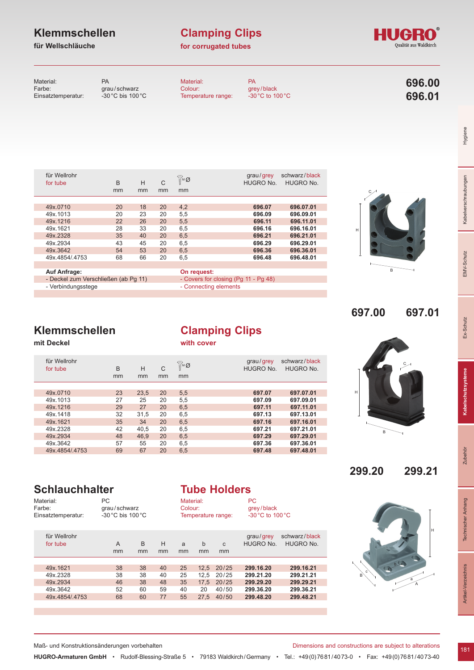# **Klemmschellen**

# **für Wellschläuche**

# **Clamping Clips**

# **for corrugated tubes**



Material: PA<br>
Farbe: gra grau/schwarz<br>-30 °C bis 100 °C Einsatztemperatur: Material: PA<br>Colour: 976 grey/black<br>-30 °C to 100 °C Temperature range: **696.00 696.01**

| für Wellrohr<br>for tube             | B<br>mm | H<br>mm | C<br>mm | ∯™Ø<br>mm   | grau/grey<br>HUGRO No.               | schwarz/black<br>HUGRO No. |
|--------------------------------------|---------|---------|---------|-------------|--------------------------------------|----------------------------|
|                                      |         |         |         |             |                                      |                            |
| 49x.0710                             | 20      | 18      | 20      | 4,2         | 696.07                               | 696.07.01                  |
| 49x.1013                             | 20      | 23      | 20      | 5,5         | 696.09                               | 696.09.01                  |
| 49x.1216                             | 22      | 26      | 20      | 5,5         | 696.11                               | 696.11.01                  |
| 49x.1621                             | 28      | 33      | 20      | 6,5         | 696.16                               | 696.16.01                  |
| 49x.2328                             | 35      | 40      | 20      | 6,5         | 696.21                               | 696.21.01                  |
| 49x.2934                             | 43      | 45      | 20      | 6,5         | 696.29                               | 696.29.01                  |
| 49x.3642                             | 54      | 53      | 20      | 6,5         | 696.36                               | 696.36.01                  |
| 49x.4854/.4753                       | 68      | 66      | 20      | 6,5         | 696.48                               | 696.48.01                  |
|                                      |         |         |         |             |                                      |                            |
| <b>Auf Anfrage:</b>                  |         |         |         | On request: |                                      |                            |
| - Deckel zum Verschließen (ab Pq 11) |         |         |         |             | - Covers for closing (Pg 11 - Pg 48) |                            |
| - Verbindungsstege                   |         |         |         |             | - Connecting elements                |                            |

# $\overline{B}$

H

H

C

**697.00 697.01**

C

**299.20 299.21**

B

Hygiene

Kabelverschraubungen

EMV-Schutz

H

a A

# **Klemmschellen**

**mit Deckel**

# **Clamping Clips with cover**

49x.0710 23 23,5 20 5,5 **697.07 697.07.01** 49x.1013 27 25 20 5,5 **697.09 697.09.01** 49x.1216 29 27 20 6,5 **697.11 697.11.01** 49x.1418 32 31,5 20 6,5 **697.13 697.13.01** 49x.1621 35 34 20 6,5 **697.16 697.16.01** fur Wellrohr and the controller of tube to the B H C in the HUGRO No. HUGRO No.<br>For tube B H C in the HUGRO No. HUGRO No. mm mm mm mm mm mm für Wellrohr grau /grey schwarz /black <sup>M</sup> <sup>Ø</sup>

49x.2328 42 40,5 20 6,5 **697.21 697.21.01** 49x.2934 48 46,9 20 6,5 **697.29 697.29.01** 49x.3642 57 55 20 6,5 **697.36 697.36.01** 49x.4854/.4753 69 67 20 6,5 **697.48 697.48.01**

# **Schlauchhalter**

Material:

# **Tube Holders** Material: PC

| Farbe:<br>Einsatztemperatur: | grau/schwarz<br>$-30\degree$ C bis 100 $\degree$ C |         |         | Colour: |         | Temperature range: | grey/black<br>$-30\degree$ C to 100 $\degree$ C |                            |
|------------------------------|----------------------------------------------------|---------|---------|---------|---------|--------------------|-------------------------------------------------|----------------------------|
| für Wellrohr<br>for tube     | A<br>mm                                            | B<br>mm | H<br>mm | a<br>mm | b<br>mm | $\mathsf{C}$<br>mm | grau/grey<br>HUGRO No.                          | schwarz/black<br>HUGRO No. |
|                              |                                                    |         |         |         |         |                    |                                                 |                            |
| 49x.1621                     | 38                                                 | 38      | 40      | 25      | 12.5    | 20/25              | 299.16.20                                       | 299.16.21                  |
| 49x.2328                     | 38                                                 | 38      | 40      | 25      | 12.5    | 20/25              | 299.21.20                                       | 299.21.21                  |
| 49x.2934                     | 46                                                 | 38      | 48      | 35      | 17.5    | 20/25              | 299.29.20                                       | 299.29.21                  |
| 49x.3642                     | 52                                                 | 60      | 59      | 40      | 20      | 40/50              | 299.36.20                                       | 299.36.21                  |
| 49x 4854/4753                | 68                                                 | 60      | 77      | 55      | 27.5    | 40/50              | 299.48.20                                       | 299.48.21                  |

Maß- und Konstruktionsänderungen vorbehalten Dimensions and constructions are subject to alterations

c

B

**HUGRO-Armaturen GmbH** • Rudolf-Blessing-Straße 5 • 79183 Waldkirch/Germany • Tel.: +49(0)7681/4073-0 • Fax: +49(0)7681/4073-40

181